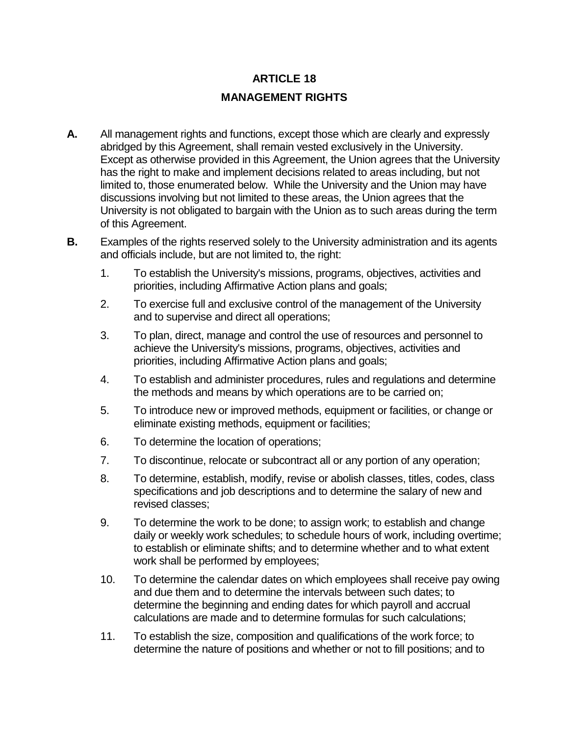## **ARTICLE 18 MANAGEMENT RIGHTS**

- **A.** All management rights and functions, except those which are clearly and expressly abridged by this Agreement, shall remain vested exclusively in the University. Except as otherwise provided in this Agreement, the Union agrees that the University has the right to make and implement decisions related to areas including, but not limited to, those enumerated below. While the University and the Union may have discussions involving but not limited to these areas, the Union agrees that the University is not obligated to bargain with the Union as to such areas during the term of this Agreement.
- **B.** Examples of the rights reserved solely to the University administration and its agents and officials include, but are not limited to, the right:
	- 1. To establish the University's missions, programs, objectives, activities and priorities, including Affirmative Action plans and goals;
	- 2. To exercise full and exclusive control of the management of the University and to supervise and direct all operations;
	- 3. To plan, direct, manage and control the use of resources and personnel to achieve the University's missions, programs, objectives, activities and priorities, including Affirmative Action plans and goals;
	- 4. To establish and administer procedures, rules and regulations and determine the methods and means by which operations are to be carried on;
	- 5. To introduce new or improved methods, equipment or facilities, or change or eliminate existing methods, equipment or facilities;
	- 6. To determine the location of operations;
	- 7. To discontinue, relocate or subcontract all or any portion of any operation;
	- 8. To determine, establish, modify, revise or abolish classes, titles, codes, class specifications and job descriptions and to determine the salary of new and revised classes;
	- 9. To determine the work to be done; to assign work; to establish and change daily or weekly work schedules; to schedule hours of work, including overtime; to establish or eliminate shifts; and to determine whether and to what extent work shall be performed by employees;
	- 10. To determine the calendar dates on which employees shall receive pay owing and due them and to determine the intervals between such dates; to determine the beginning and ending dates for which payroll and accrual calculations are made and to determine formulas for such calculations;
	- 11. To establish the size, composition and qualifications of the work force; to determine the nature of positions and whether or not to fill positions; and to